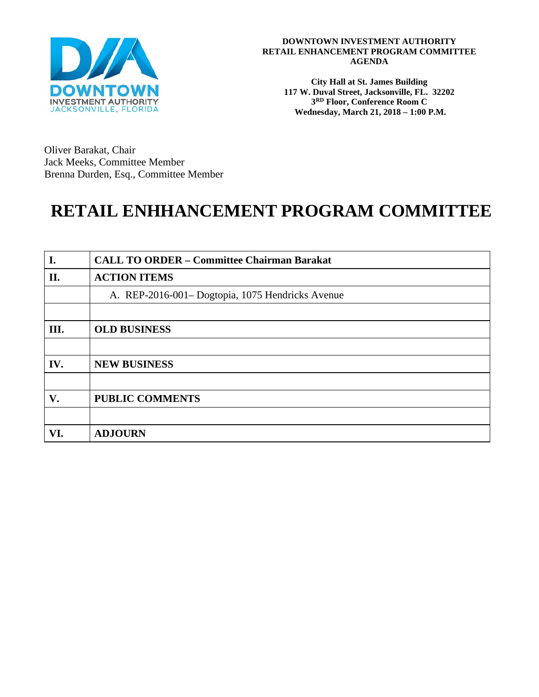

**City Hall at St. James Building 117 W. Duval Street, Jacksonville, FL. 32202 3RD Floor, Conference Room C Wednesday, March 21, 2018 – 1:00 P.M.**

Oliver Barakat, Chair Jack Meeks, Committee Member Brenna Durden, Esq., Committee Member

# **RETAIL ENHHANCEMENT PROGRAM COMMITTEE**

| I.  | <b>CALL TO ORDER - Committee Chairman Barakat</b> |
|-----|---------------------------------------------------|
| II. | <b>ACTION ITEMS</b>                               |
|     | A. REP-2016-001- Dogtopia, 1075 Hendricks Avenue  |
|     |                                                   |
| Ш.  | <b>OLD BUSINESS</b>                               |
|     |                                                   |
| IV. | <b>NEW BUSINESS</b>                               |
|     |                                                   |
| V.  | <b>PUBLIC COMMENTS</b>                            |
|     |                                                   |
| VI. | <b>ADJOURN</b>                                    |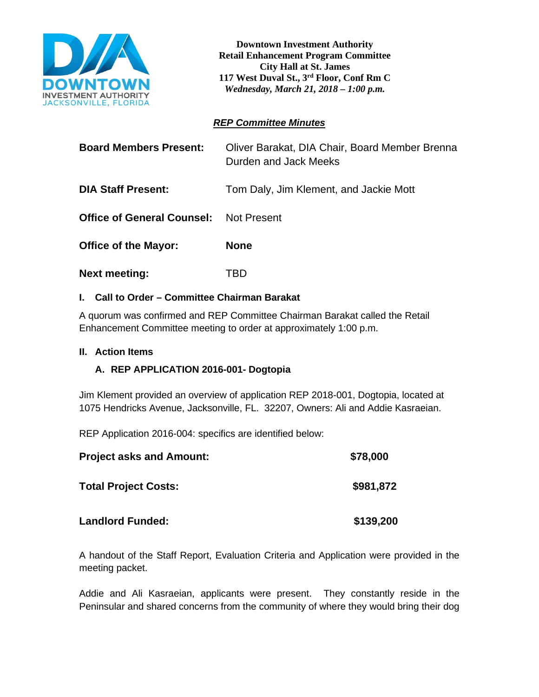

**Downtown Investment Authority Retail Enhancement Program Committee City Hall at St. James 117 West Duval St., 3rd Floor, Conf Rm C**  *Wednesday, March 21, 2018 – 1:00 p.m.*

# *REP Committee Minutes*

| <b>Board Members Present:</b>     | Oliver Barakat, DIA Chair, Board Member Brenna<br>Durden and Jack Meeks |
|-----------------------------------|-------------------------------------------------------------------------|
| <b>DIA Staff Present:</b>         | Tom Daly, Jim Klement, and Jackie Mott                                  |
| <b>Office of General Counsel:</b> | <b>Not Present</b>                                                      |
| <b>Office of the Mayor:</b>       | <b>None</b>                                                             |
| <b>Next meeting:</b>              | TBD                                                                     |

# **I. Call to Order – Committee Chairman Barakat**

A quorum was confirmed and REP Committee Chairman Barakat called the Retail Enhancement Committee meeting to order at approximately 1:00 p.m.

## **II. Action Items**

# **A. REP APPLICATION 2016-001- Dogtopia**

Jim Klement provided an overview of application REP 2018-001, Dogtopia, located at 1075 Hendricks Avenue, Jacksonville, FL. 32207, Owners: Ali and Addie Kasraeian.

REP Application 2016-004: specifics are identified below:

| <b>Project asks and Amount:</b> | \$78,000  |
|---------------------------------|-----------|
| <b>Total Project Costs:</b>     | \$981,872 |
| <b>Landlord Funded:</b>         | \$139,200 |

A handout of the Staff Report, Evaluation Criteria and Application were provided in the meeting packet.

Addie and Ali Kasraeian, applicants were present. They constantly reside in the Peninsular and shared concerns from the community of where they would bring their dog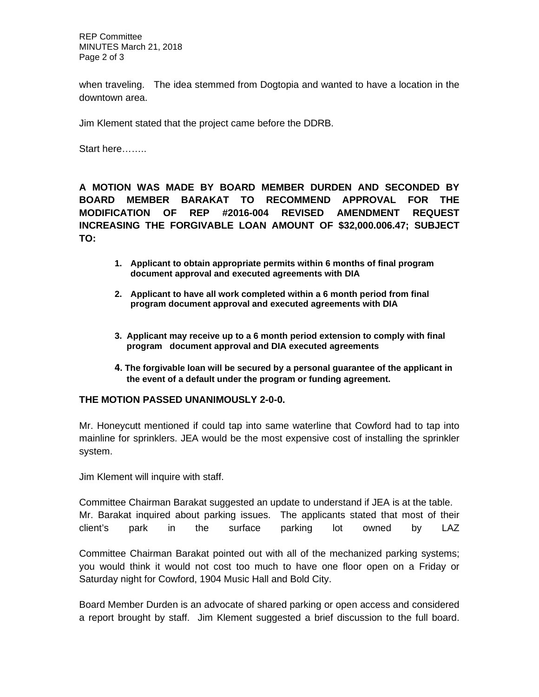REP Committee MINUTES March 21, 2018 Page 2 of 3

when traveling. The idea stemmed from Dogtopia and wanted to have a location in the downtown area.

Jim Klement stated that the project came before the DDRB.

Start here……..

**A MOTION WAS MADE BY BOARD MEMBER DURDEN AND SECONDED BY BOARD MEMBER BARAKAT TO RECOMMEND APPROVAL FOR THE MODIFICATION OF REP #2016-004 REVISED AMENDMENT REQUEST INCREASING THE FORGIVABLE LOAN AMOUNT OF \$32,000.006.47; SUBJECT TO:** 

- **1. Applicant to obtain appropriate permits within 6 months of final program document approval and executed agreements with DIA**
- **2. Applicant to have all work completed within a 6 month period from final program document approval and executed agreements with DIA**
- **3. Applicant may receive up to a 6 month period extension to comply with final program document approval and DIA executed agreements**
- **4. The forgivable loan will be secured by a personal guarantee of the applicant in the event of a default under the program or funding agreement.**

#### **THE MOTION PASSED UNANIMOUSLY 2-0-0.**

Mr. Honeycutt mentioned if could tap into same waterline that Cowford had to tap into mainline for sprinklers. JEA would be the most expensive cost of installing the sprinkler system.

Jim Klement will inquire with staff.

Committee Chairman Barakat suggested an update to understand if JEA is at the table. Mr. Barakat inquired about parking issues. The applicants stated that most of their client's park in the surface parking lot owned by LAZ

Committee Chairman Barakat pointed out with all of the mechanized parking systems; you would think it would not cost too much to have one floor open on a Friday or Saturday night for Cowford, 1904 Music Hall and Bold City.

Board Member Durden is an advocate of shared parking or open access and considered a report brought by staff. Jim Klement suggested a brief discussion to the full board.